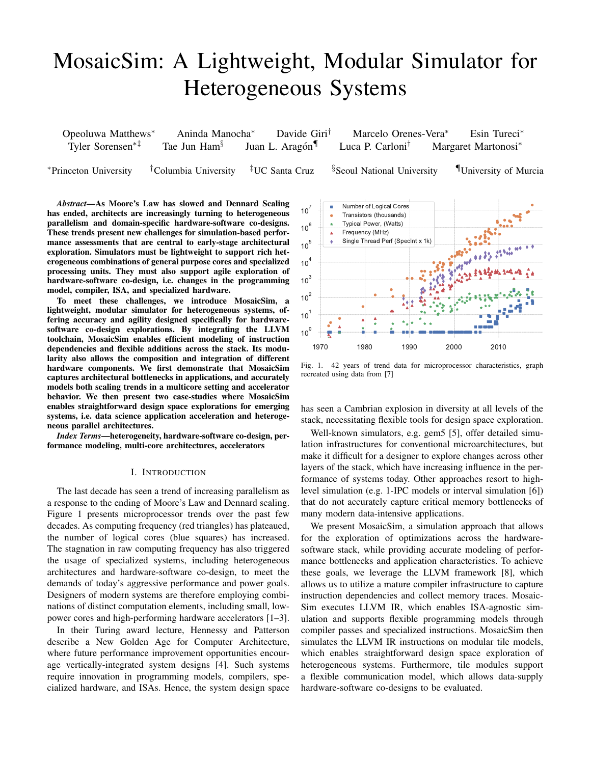# MosaicSim: A Lightweight, Modular Simulator for Heterogeneous Systems

| Opeoluwa Matthews <sup>*</sup> | Aninda Manocha <sup>*</sup> | Davide Giri <sup>†</sup> | Marcelo Orenes-Vera*         | Esin Tureci <sup>*</sup>        |
|--------------------------------|-----------------------------|--------------------------|------------------------------|---------------------------------|
| Tyler Sorensen <sup>*†</sup>   | Tae Jun Ham <sup>§</sup>    | Juan L. Aragón           | Luca P. Carloni <sup>†</sup> | Margaret Martonosi <sup>*</sup> |

<sup>∗</sup>Princeton University †Columbia University ‡UC Santa Cruz §Seoul National University ¶University of Murcia

*Abstract*—As Moore's Law has slowed and Dennard Scaling has ended, architects are increasingly turning to heterogeneous parallelism and domain-specific hardware-software co-designs. These trends present new challenges for simulation-based performance assessments that are central to early-stage architectural exploration. Simulators must be lightweight to support rich heterogeneous combinations of general purpose cores and specialized processing units. They must also support agile exploration of hardware-software co-design, i.e. changes in the programming model, compiler, ISA, and specialized hardware.

To meet these challenges, we introduce MosaicSim, a lightweight, modular simulator for heterogeneous systems, offering accuracy and agility designed specifically for hardwaresoftware co-design explorations. By integrating the LLVM toolchain, MosaicSim enables efficient modeling of instruction dependencies and flexible additions across the stack. Its modularity also allows the composition and integration of different hardware components. We first demonstrate that MosaicSim captures architectural bottlenecks in applications, and accurately models both scaling trends in a multicore setting and accelerator behavior. We then present two case-studies where MosaicSim enables straightforward design space explorations for emerging systems, i.e. data science application acceleration and heterogeneous parallel architectures.

*Index Terms*—heterogeneity, hardware-software co-design, performance modeling, multi-core architectures, accelerators

## I. INTRODUCTION

The last decade has seen a trend of increasing parallelism as a response to the ending of Moore's Law and Dennard scaling. Figure 1 presents microprocessor trends over the past few decades. As computing frequency (red triangles) has plateaued, the number of logical cores (blue squares) has increased. The stagnation in raw computing frequency has also triggered the usage of specialized systems, including heterogeneous architectures and hardware-software co-design, to meet the demands of today's aggressive performance and power goals. Designers of modern systems are therefore employing combinations of distinct computation elements, including small, lowpower cores and high-performing hardware accelerators [1–3].

In their Turing award lecture, Hennessy and Patterson describe a New Golden Age for Computer Architecture, where future performance improvement opportunities encourage vertically-integrated system designs [4]. Such systems require innovation in programming models, compilers, specialized hardware, and ISAs. Hence, the system design space



Fig. 1. 42 years of trend data for microprocessor characteristics, graph recreated using data from [7]

has seen a Cambrian explosion in diversity at all levels of the stack, necessitating flexible tools for design space exploration.

Well-known simulators, e.g. gem5 [5], offer detailed simulation infrastructures for conventional microarchitectures, but make it difficult for a designer to explore changes across other layers of the stack, which have increasing influence in the performance of systems today. Other approaches resort to highlevel simulation (e.g. 1-IPC models or interval simulation [6]) that do not accurately capture critical memory bottlenecks of many modern data-intensive applications.

We present MosaicSim, a simulation approach that allows for the exploration of optimizations across the hardwaresoftware stack, while providing accurate modeling of performance bottlenecks and application characteristics. To achieve these goals, we leverage the LLVM framework [8], which allows us to utilize a mature compiler infrastructure to capture instruction dependencies and collect memory traces. Mosaic-Sim executes LLVM IR, which enables ISA-agnostic simulation and supports flexible programming models through compiler passes and specialized instructions. MosaicSim then simulates the LLVM IR instructions on modular tile models, which enables straightforward design space exploration of heterogeneous systems. Furthermore, tile modules support a flexible communication model, which allows data-supply hardware-software co-designs to be evaluated.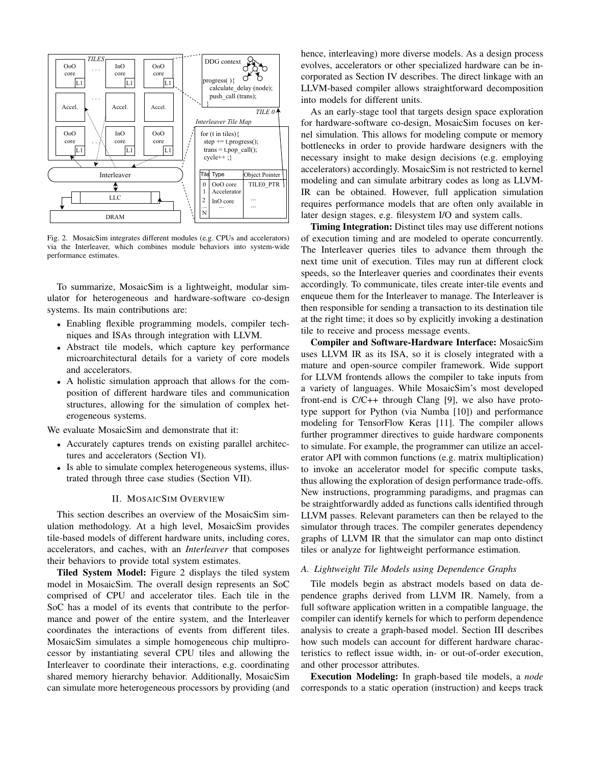

Fig. 2. MosaicSim integrates different modules (e.g. CPUs and accelerators) via the Interleaver, which combines module behaviors into system-wide performance estimates.

To summarize, MosaicSim is a lightweight, modular simulator for heterogeneous and hardware-software co-design systems. Its main contributions are:

- Enabling flexible programming models, compiler techniques and ISAs through integration with LLVM.
- Abstract tile models, which capture key performance microarchitectural details for a variety of core models and accelerators.
- A holistic simulation approach that allows for the composition of different hardware tiles and communication structures, allowing for the simulation of complex heterogeneous systems.

We evaluate MosaicSim and demonstrate that it:

- Accurately captures trends on existing parallel architectures and accelerators (Section VI).
- Is able to simulate complex heterogeneous systems, illustrated through three case studies (Section VII).

# II. MOSAICSIM OVERVIEW

This section describes an overview of the MosaicSim simulation methodology. At a high level, MosaicSim provides tile-based models of different hardware units, including cores, accelerators, and caches, with an *Interleaver* that composes their behaviors to provide total system estimates.

Tiled System Model: Figure 2 displays the tiled system model in MosaicSim. The overall design represents an SoC comprised of CPU and accelerator tiles. Each tile in the SoC has a model of its events that contribute to the performance and power of the entire system, and the Interleaver coordinates the interactions of events from different tiles. MosaicSim simulates a simple homogeneous chip multiprocessor by instantiating several CPU tiles and allowing the Interleaver to coordinate their interactions, e.g. coordinating shared memory hierarchy behavior. Additionally, MosaicSim can simulate more heterogeneous processors by providing (and hence, interleaving) more diverse models. As a design process evolves, accelerators or other specialized hardware can be incorporated as Section IV describes. The direct linkage with an LLVM-based compiler allows straightforward decomposition into models for different units.

As an early-stage tool that targets design space exploration for hardware-software co-design, MosaicSim focuses on kernel simulation. This allows for modeling compute or memory bottlenecks in order to provide hardware designers with the necessary insight to make design decisions (e.g. employing accelerators) accordingly. MosaicSim is not restricted to kernel modeling and can simulate arbitrary codes as long as LLVM-IR can be obtained. However, full application simulation requires performance models that are often only available in later design stages, e.g. filesystem I/O and system calls.

Timing Integration: Distinct tiles may use different notions of execution timing and are modeled to operate concurrently. The Interleaver queries tiles to advance them through the next time unit of execution. Tiles may run at different clock speeds, so the Interleaver queries and coordinates their events accordingly. To communicate, tiles create inter-tile events and enqueue them for the Interleaver to manage. The Interleaver is then responsible for sending a transaction to its destination tile at the right time; it does so by explicitly invoking a destination tile to receive and process message events.

Compiler and Software-Hardware Interface: MosaicSim uses LLVM IR as its ISA, so it is closely integrated with a mature and open-source compiler framework. Wide support for LLVM frontends allows the compiler to take inputs from a variety of languages. While MosaicSim's most developed front-end is C/C++ through Clang [9], we also have prototype support for Python (via Numba [10]) and performance modeling for TensorFlow Keras [11]. The compiler allows further programmer directives to guide hardware components to simulate. For example, the programmer can utilize an accelerator API with common functions (e.g. matrix multiplication) to invoke an accelerator model for specific compute tasks, thus allowing the exploration of design performance trade-offs. New instructions, programming paradigms, and pragmas can be straightforwardly added as functions calls identified through LLVM passes. Relevant parameters can then be relayed to the simulator through traces. The compiler generates dependency graphs of LLVM IR that the simulator can map onto distinct tiles or analyze for lightweight performance estimation.

#### *A. Lightweight Tile Models using Dependence Graphs*

Tile models begin as abstract models based on data dependence graphs derived from LLVM IR. Namely, from a full software application written in a compatible language, the compiler can identify kernels for which to perform dependence analysis to create a graph-based model. Section III describes how such models can account for different hardware characteristics to reflect issue width, in- or out-of-order execution, and other processor attributes.

Execution Modeling: In graph-based tile models, a *node* corresponds to a static operation (instruction) and keeps track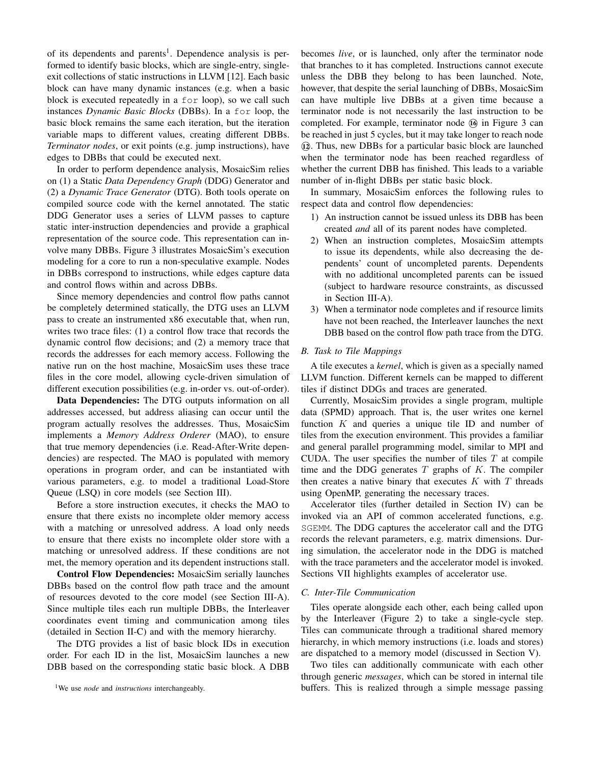of its dependents and parents<sup>1</sup>. Dependence analysis is performed to identify basic blocks, which are single-entry, singleexit collections of static instructions in LLVM [12]. Each basic block can have many dynamic instances (e.g. when a basic block is executed repeatedly in a for loop), so we call such instances *Dynamic Basic Blocks* (DBBs). In a for loop, the basic block remains the same each iteration, but the iteration variable maps to different values, creating different DBBs. *Terminator nodes*, or exit points (e.g. jump instructions), have edges to DBBs that could be executed next.

In order to perform dependence analysis, MosaicSim relies on (1) a Static *Data Dependency Graph* (DDG) Generator and (2) a *Dynamic Trace Generator* (DTG). Both tools operate on compiled source code with the kernel annotated. The static DDG Generator uses a series of LLVM passes to capture static inter-instruction dependencies and provide a graphical representation of the source code. This representation can involve many DBBs. Figure 3 illustrates MosaicSim's execution modeling for a core to run a non-speculative example. Nodes in DBBs correspond to instructions, while edges capture data and control flows within and across DBBs.

Since memory dependencies and control flow paths cannot be completely determined statically, the DTG uses an LLVM pass to create an instrumented x86 executable that, when run, writes two trace files: (1) a control flow trace that records the dynamic control flow decisions; and (2) a memory trace that records the addresses for each memory access. Following the native run on the host machine, MosaicSim uses these trace files in the core model, allowing cycle-driven simulation of different execution possibilities (e.g. in-order vs. out-of-order).

Data Dependencies: The DTG outputs information on all addresses accessed, but address aliasing can occur until the program actually resolves the addresses. Thus, MosaicSim implements a *Memory Address Orderer* (MAO), to ensure that true memory dependencies (i.e. Read-After-Write dependencies) are respected. The MAO is populated with memory operations in program order, and can be instantiated with various parameters, e.g. to model a traditional Load-Store Queue (LSQ) in core models (see Section III).

Before a store instruction executes, it checks the MAO to ensure that there exists no incomplete older memory access with a matching or unresolved address. A load only needs to ensure that there exists no incomplete older store with a matching or unresolved address. If these conditions are not met, the memory operation and its dependent instructions stall.

Control Flow Dependencies: MosaicSim serially launches DBBs based on the control flow path trace and the amount of resources devoted to the core model (see Section III-A). Since multiple tiles each run multiple DBBs, the Interleaver coordinates event timing and communication among tiles (detailed in Section II-C) and with the memory hierarchy.

The DTG provides a list of basic block IDs in execution order. For each ID in the list, MosaicSim launches a new DBB based on the corresponding static basic block. A DBB

<sup>1</sup>We use *node* and *instructions* interchangeably.

becomes *live*, or is launched, only after the terminator node that branches to it has completed. Instructions cannot execute unless the DBB they belong to has been launched. Note, however, that despite the serial launching of DBBs, MosaicSim can have multiple live DBBs at a given time because a terminator node is not necessarily the last instruction to be completed. For example, terminator node  $\omega$  in Figure 3 can be reached in just 5 cycles, but it may take longer to reach node  $(12)$ . Thus, new DBBs for a particular basic block are launched when the terminator node has been reached regardless of whether the current DBB has finished. This leads to a variable number of in-flight DBBs per static basic block.

In summary, MosaicSim enforces the following rules to respect data and control flow dependencies:

- 1) An instruction cannot be issued unless its DBB has been created *and* all of its parent nodes have completed.
- 2) When an instruction completes, MosaicSim attempts to issue its dependents, while also decreasing the dependents' count of uncompleted parents. Dependents with no additional uncompleted parents can be issued (subject to hardware resource constraints, as discussed in Section III-A).
- 3) When a terminator node completes and if resource limits have not been reached, the Interleaver launches the next DBB based on the control flow path trace from the DTG.

#### *B. Task to Tile Mappings*

A tile executes a *kernel*, which is given as a specially named LLVM function. Different kernels can be mapped to different tiles if distinct DDGs and traces are generated.

Currently, MosaicSim provides a single program, multiple data (SPMD) approach. That is, the user writes one kernel function  $K$  and queries a unique tile ID and number of tiles from the execution environment. This provides a familiar and general parallel programming model, similar to MPI and CUDA. The user specifies the number of tiles  $T$  at compile time and the DDG generates  $T$  graphs of  $K$ . The compiler then creates a native binary that executes  $K$  with  $T$  threads using OpenMP, generating the necessary traces.

Accelerator tiles (further detailed in Section IV) can be invoked via an API of common accelerated functions, e.g. SGEMM. The DDG captures the accelerator call and the DTG records the relevant parameters, e.g. matrix dimensions. During simulation, the accelerator node in the DDG is matched with the trace parameters and the accelerator model is invoked. Sections VII highlights examples of accelerator use.

#### *C. Inter-Tile Communication*

Tiles operate alongside each other, each being called upon by the Interleaver (Figure 2) to take a single-cycle step. Tiles can communicate through a traditional shared memory hierarchy, in which memory instructions (i.e. loads and stores) are dispatched to a memory model (discussed in Section V).

Two tiles can additionally communicate with each other through generic *messages*, which can be stored in internal tile buffers. This is realized through a simple message passing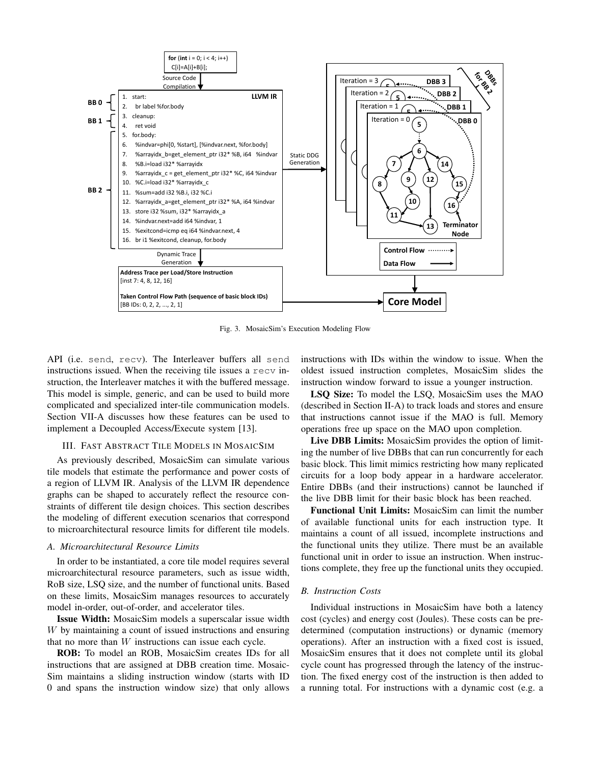

Fig. 3. MosaicSim's Execution Modeling Flow

API (i.e. send, recv). The Interleaver buffers all send instructions issued. When the receiving tile issues a recv instruction, the Interleaver matches it with the buffered message. This model is simple, generic, and can be used to build more complicated and specialized inter-tile communication models. Section VII-A discusses how these features can be used to implement a Decoupled Access/Execute system [13].

# III. FAST ABSTRACT TILE MODELS IN MOSAICSIM

As previously described, MosaicSim can simulate various tile models that estimate the performance and power costs of a region of LLVM IR. Analysis of the LLVM IR dependence graphs can be shaped to accurately reflect the resource constraints of different tile design choices. This section describes the modeling of different execution scenarios that correspond to microarchitectural resource limits for different tile models.

#### *A. Microarchitectural Resource Limits*

In order to be instantiated, a core tile model requires several microarchitectural resource parameters, such as issue width, RoB size, LSQ size, and the number of functional units. Based on these limits, MosaicSim manages resources to accurately model in-order, out-of-order, and accelerator tiles.

Issue Width: MosaicSim models a superscalar issue width W by maintaining a count of issued instructions and ensuring that no more than  $W$  instructions can issue each cycle.

ROB: To model an ROB, MosaicSim creates IDs for all instructions that are assigned at DBB creation time. Mosaic-Sim maintains a sliding instruction window (starts with ID 0 and spans the instruction window size) that only allows instructions with IDs within the window to issue. When the oldest issued instruction completes, MosaicSim slides the instruction window forward to issue a younger instruction.

LSQ Size: To model the LSQ, MosaicSim uses the MAO (described in Section II-A) to track loads and stores and ensure that instructions cannot issue if the MAO is full. Memory operations free up space on the MAO upon completion.

Live DBB Limits: MosaicSim provides the option of limiting the number of live DBBs that can run concurrently for each basic block. This limit mimics restricting how many replicated circuits for a loop body appear in a hardware accelerator. Entire DBBs (and their instructions) cannot be launched if the live DBB limit for their basic block has been reached.

Functional Unit Limits: MosaicSim can limit the number of available functional units for each instruction type. It maintains a count of all issued, incomplete instructions and the functional units they utilize. There must be an available functional unit in order to issue an instruction. When instructions complete, they free up the functional units they occupied.

### *B. Instruction Costs*

Individual instructions in MosaicSim have both a latency cost (cycles) and energy cost (Joules). These costs can be predetermined (computation instructions) or dynamic (memory operations). After an instruction with a fixed cost is issued, MosaicSim ensures that it does not complete until its global cycle count has progressed through the latency of the instruction. The fixed energy cost of the instruction is then added to a running total. For instructions with a dynamic cost (e.g. a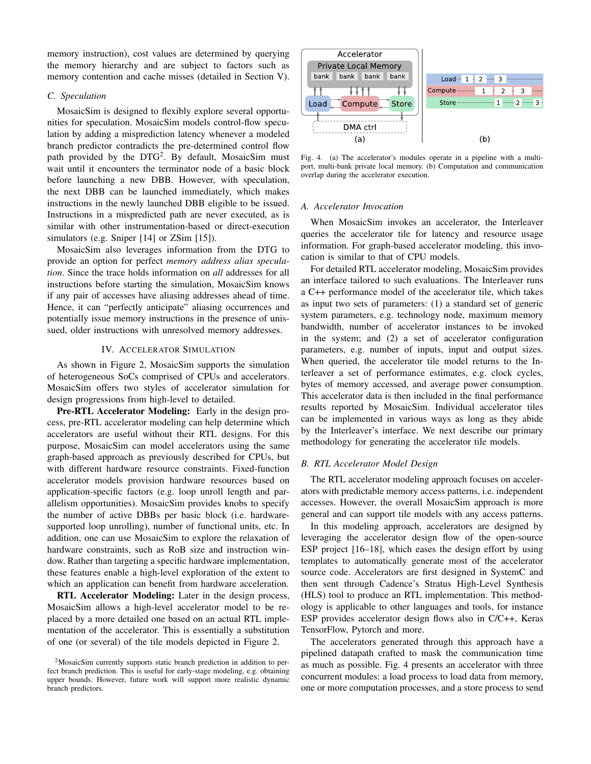memory instruction), cost values are determined by querying the memory hierarchy and are subject to factors such as memory contention and cache misses (detailed in Section V).

## *C. Speculation*

MosaicSim is designed to flexibly explore several opportunities for speculation. MosaicSim models control-flow speculation by adding a misprediction latency whenever a modeled branch predictor contradicts the pre-determined control flow path provided by the DTG<sup>2</sup>. By default, MosaicSim must wait until it encounters the terminator node of a basic block before launching a new DBB. However, with speculation, the next DBB can be launched immediately, which makes instructions in the newly launched DBB eligible to be issued. Instructions in a mispredicted path are never executed, as is similar with other instrumentation-based or direct-execution simulators (e.g. Sniper [14] or ZSim [15]).

MosaicSim also leverages information from the DTG to provide an option for perfect *memory address alias speculation*. Since the trace holds information on *all* addresses for all instructions before starting the simulation, MosaicSim knows if any pair of accesses have aliasing addresses ahead of time. Hence, it can "perfectly anticipate" aliasing occurrences and potentially issue memory instructions in the presence of unissued, older instructions with unresolved memory addresses.

### IV. ACCELERATOR SIMULATION

As shown in Figure 2, MosaicSim supports the simulation of heterogeneous SoCs comprised of CPUs and accelerators. MosaicSim offers two styles of accelerator simulation for design progressions from high-level to detailed.

Pre-RTL Accelerator Modeling: Early in the design process, pre-RTL accelerator modeling can help determine which accelerators are useful without their RTL designs. For this purpose, MosaicSim can model accelerators using the same graph-based approach as previously described for CPUs, but with different hardware resource constraints. Fixed-function accelerator models provision hardware resources based on application-specific factors (e.g. loop unroll length and parallelism opportunities). MosaicSim provides knobs to specify the number of active DBBs per basic block (i.e. hardwaresupported loop unrolling), number of functional units, etc. In addition, one can use MosaicSim to explore the relaxation of hardware constraints, such as RoB size and instruction window. Rather than targeting a specific hardware implementation, these features enable a high-level exploration of the extent to which an application can benefit from hardware acceleration.

RTL Accelerator Modeling: Later in the design process, MosaicSim allows a high-level accelerator model to be replaced by a more detailed one based on an actual RTL implementation of the accelerator. This is essentially a substitution of one (or several) of the tile models depicted in Figure 2.



Fig. 4. (a) The accelerator's modules operate in a pipeline with a multiport, multi-bank private local memory. (b) Computation and communication overlap during the accelerator execution.

## *A. Accelerator Invocation*

When MosaicSim invokes an accelerator, the Interleaver queries the accelerator tile for latency and resource usage information. For graph-based accelerator modeling, this invocation is similar to that of CPU models.

For detailed RTL accelerator modeling, MosaicSim provides an interface tailored to such evaluations. The Interleaver runs a C++ performance model of the accelerator tile, which takes as input two sets of parameters: (1) a standard set of generic system parameters, e.g. technology node, maximum memory bandwidth, number of accelerator instances to be invoked in the system; and (2) a set of accelerator configuration parameters, e.g. number of inputs, input and output sizes. When queried, the accelerator tile model returns to the Interleaver a set of performance estimates, e.g. clock cycles, bytes of memory accessed, and average power consumption. This accelerator data is then included in the final performance results reported by MosaicSim. Individual accelerator tiles can be implemented in various ways as long as they abide by the Interleaver's interface. We next describe our primary methodology for generating the accelerator tile models.

## *B. RTL Accelerator Model Design*

The RTL accelerator modeling approach focuses on accelerators with predictable memory access patterns, i.e. independent accesses. However, the overall MosaicSim approach is more general and can support tile models with any access patterns.

In this modeling approach, accelerators are designed by leveraging the accelerator design flow of the open-source ESP project [16–18], which eases the design effort by using templates to automatically generate most of the accelerator source code. Accelerators are first designed in SystemC and then sent through Cadence's Stratus High-Level Synthesis (HLS) tool to produce an RTL implementation. This methodology is applicable to other languages and tools, for instance ESP provides accelerator design flows also in C/C++, Keras TensorFlow, Pytorch and more.

The accelerators generated through this approach have a pipelined datapath crafted to mask the communication time as much as possible. Fig. 4 presents an accelerator with three concurrent modules: a load process to load data from memory, one or more computation processes, and a store process to send

<sup>&</sup>lt;sup>2</sup>MosaicSim currently supports static branch prediction in addition to perfect branch prediction. This is useful for early-stage modeling, e.g. obtaining upper bounds. However, future work will support more realistic dynamic branch predictors.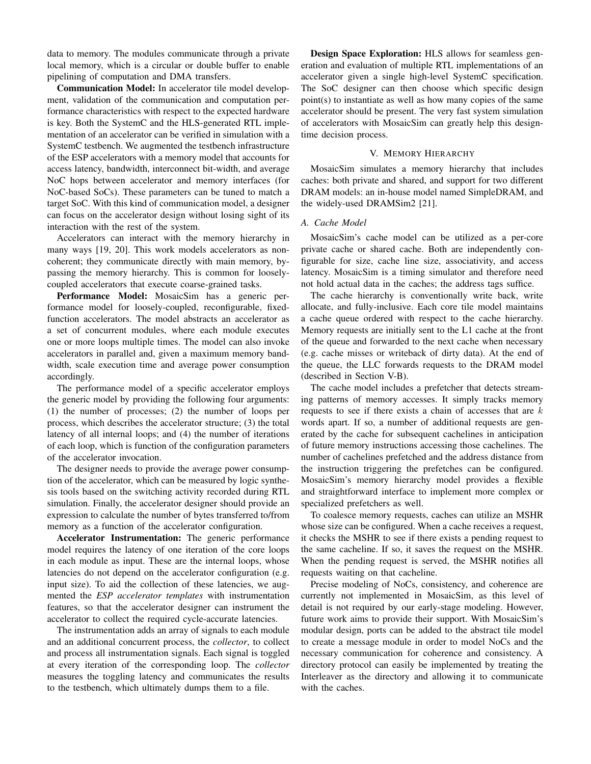data to memory. The modules communicate through a private local memory, which is a circular or double buffer to enable pipelining of computation and DMA transfers.

Communication Model: In accelerator tile model development, validation of the communication and computation performance characteristics with respect to the expected hardware is key. Both the SystemC and the HLS-generated RTL implementation of an accelerator can be verified in simulation with a SystemC testbench. We augmented the testbench infrastructure of the ESP accelerators with a memory model that accounts for access latency, bandwidth, interconnect bit-width, and average NoC hops between accelerator and memory interfaces (for NoC-based SoCs). These parameters can be tuned to match a target SoC. With this kind of communication model, a designer can focus on the accelerator design without losing sight of its interaction with the rest of the system.

Accelerators can interact with the memory hierarchy in many ways [19, 20]. This work models accelerators as noncoherent; they communicate directly with main memory, bypassing the memory hierarchy. This is common for looselycoupled accelerators that execute coarse-grained tasks.

Performance Model: MosaicSim has a generic performance model for loosely-coupled, reconfigurable, fixedfunction accelerators. The model abstracts an accelerator as a set of concurrent modules, where each module executes one or more loops multiple times. The model can also invoke accelerators in parallel and, given a maximum memory bandwidth, scale execution time and average power consumption accordingly.

The performance model of a specific accelerator employs the generic model by providing the following four arguments: (1) the number of processes; (2) the number of loops per process, which describes the accelerator structure; (3) the total latency of all internal loops; and (4) the number of iterations of each loop, which is function of the configuration parameters of the accelerator invocation.

The designer needs to provide the average power consumption of the accelerator, which can be measured by logic synthesis tools based on the switching activity recorded during RTL simulation. Finally, the accelerator designer should provide an expression to calculate the number of bytes transferred to/from memory as a function of the accelerator configuration.

Accelerator Instrumentation: The generic performance model requires the latency of one iteration of the core loops in each module as input. These are the internal loops, whose latencies do not depend on the accelerator configuration (e.g. input size). To aid the collection of these latencies, we augmented the *ESP accelerator templates* with instrumentation features, so that the accelerator designer can instrument the accelerator to collect the required cycle-accurate latencies.

The instrumentation adds an array of signals to each module and an additional concurrent process, the *collector*, to collect and process all instrumentation signals. Each signal is toggled at every iteration of the corresponding loop. The *collector* measures the toggling latency and communicates the results to the testbench, which ultimately dumps them to a file.

Design Space Exploration: HLS allows for seamless generation and evaluation of multiple RTL implementations of an accelerator given a single high-level SystemC specification. The SoC designer can then choose which specific design point(s) to instantiate as well as how many copies of the same accelerator should be present. The very fast system simulation of accelerators with MosaicSim can greatly help this designtime decision process.

# V. MEMORY HIERARCHY

MosaicSim simulates a memory hierarchy that includes caches: both private and shared, and support for two different DRAM models: an in-house model named SimpleDRAM, and the widely-used DRAMSim2 [21].

#### *A. Cache Model*

MosaicSim's cache model can be utilized as a per-core private cache or shared cache. Both are independently configurable for size, cache line size, associativity, and access latency. MosaicSim is a timing simulator and therefore need not hold actual data in the caches; the address tags suffice.

The cache hierarchy is conventionally write back, write allocate, and fully-inclusive. Each core tile model maintains a cache queue ordered with respect to the cache hierarchy. Memory requests are initially sent to the L1 cache at the front of the queue and forwarded to the next cache when necessary (e.g. cache misses or writeback of dirty data). At the end of the queue, the LLC forwards requests to the DRAM model (described in Section V-B).

The cache model includes a prefetcher that detects streaming patterns of memory accesses. It simply tracks memory requests to see if there exists a chain of accesses that are  $k$ words apart. If so, a number of additional requests are generated by the cache for subsequent cachelines in anticipation of future memory instructions accessing those cachelines. The number of cachelines prefetched and the address distance from the instruction triggering the prefetches can be configured. MosaicSim's memory hierarchy model provides a flexible and straightforward interface to implement more complex or specialized prefetchers as well.

To coalesce memory requests, caches can utilize an MSHR whose size can be configured. When a cache receives a request, it checks the MSHR to see if there exists a pending request to the same cacheline. If so, it saves the request on the MSHR. When the pending request is served, the MSHR notifies all requests waiting on that cacheline.

Precise modeling of NoCs, consistency, and coherence are currently not implemented in MosaicSim, as this level of detail is not required by our early-stage modeling. However, future work aims to provide their support. With MosaicSim's modular design, ports can be added to the abstract tile model to create a message module in order to model NoCs and the necessary communication for coherence and consistency. A directory protocol can easily be implemented by treating the Interleaver as the directory and allowing it to communicate with the caches.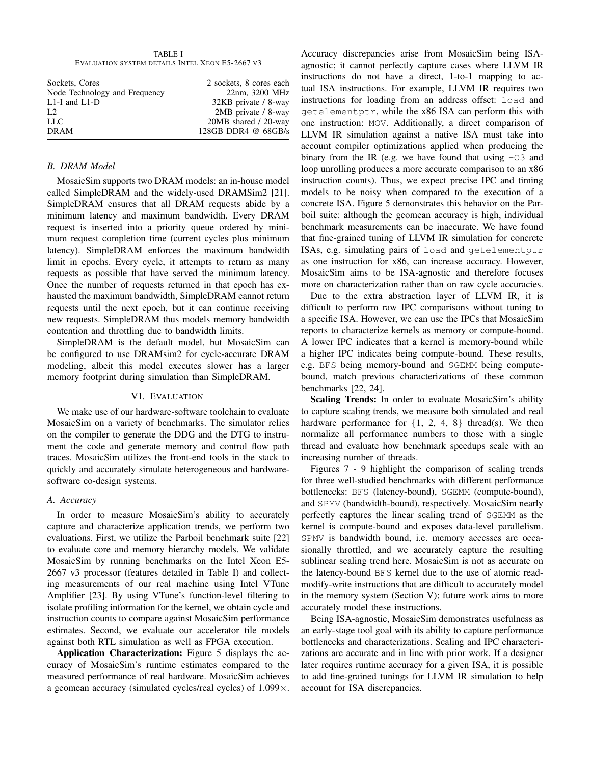TABLE I EVALUATION SYSTEM DETAILS INTEL XEON E5-2667 V3

| Sockets, Cores                | 2 sockets, 8 cores each |
|-------------------------------|-------------------------|
| Node Technology and Frequency | 22nm, 3200 MHz          |
| $L1-I$ and $L1-D$             | 32KB private / 8-way    |
| L <sub>2</sub>                | 2MB private / 8-way     |
| <b>LLC</b>                    | 20MB shared / 20-way    |
| <b>DRAM</b>                   | 128GB DDR4 $@$ 68GB/s   |
|                               |                         |

## *B. DRAM Model*

MosaicSim supports two DRAM models: an in-house model called SimpleDRAM and the widely-used DRAMSim2 [21]. SimpleDRAM ensures that all DRAM requests abide by a minimum latency and maximum bandwidth. Every DRAM request is inserted into a priority queue ordered by minimum request completion time (current cycles plus minimum latency). SimpleDRAM enforces the maximum bandwidth limit in epochs. Every cycle, it attempts to return as many requests as possible that have served the minimum latency. Once the number of requests returned in that epoch has exhausted the maximum bandwidth, SimpleDRAM cannot return requests until the next epoch, but it can continue receiving new requests. SimpleDRAM thus models memory bandwidth contention and throttling due to bandwidth limits.

SimpleDRAM is the default model, but MosaicSim can be configured to use DRAMsim2 for cycle-accurate DRAM modeling, albeit this model executes slower has a larger memory footprint during simulation than SimpleDRAM.

## VI. EVALUATION

We make use of our hardware-software toolchain to evaluate MosaicSim on a variety of benchmarks. The simulator relies on the compiler to generate the DDG and the DTG to instrument the code and generate memory and control flow path traces. MosaicSim utilizes the front-end tools in the stack to quickly and accurately simulate heterogeneous and hardwaresoftware co-design systems.

# *A. Accuracy*

In order to measure MosaicSim's ability to accurately capture and characterize application trends, we perform two evaluations. First, we utilize the Parboil benchmark suite [22] to evaluate core and memory hierarchy models. We validate MosaicSim by running benchmarks on the Intel Xeon E5- 2667 v3 processor (features detailed in Table I) and collecting measurements of our real machine using Intel VTune Amplifier [23]. By using VTune's function-level filtering to isolate profiling information for the kernel, we obtain cycle and instruction counts to compare against MosaicSim performance estimates. Second, we evaluate our accelerator tile models against both RTL simulation as well as FPGA execution.

Application Characterization: Figure 5 displays the accuracy of MosaicSim's runtime estimates compared to the measured performance of real hardware. MosaicSim achieves a geomean accuracy (simulated cycles/real cycles) of 1.099×.

Accuracy discrepancies arise from MosaicSim being ISAagnostic; it cannot perfectly capture cases where LLVM IR instructions do not have a direct, 1-to-1 mapping to actual ISA instructions. For example, LLVM IR requires two instructions for loading from an address offset: load and getelementptr, while the x86 ISA can perform this with one instruction: MOV. Additionally, a direct comparison of LLVM IR simulation against a native ISA must take into account compiler optimizations applied when producing the binary from the IR (e.g. we have found that using  $-03$  and loop unrolling produces a more accurate comparison to an x86 instruction counts). Thus, we expect precise IPC and timing models to be noisy when compared to the execution of a concrete ISA. Figure 5 demonstrates this behavior on the Parboil suite: although the geomean accuracy is high, individual benchmark measurements can be inaccurate. We have found that fine-grained tuning of LLVM IR simulation for concrete ISAs, e.g. simulating pairs of load and getelementptr as one instruction for x86, can increase accuracy. However, MosaicSim aims to be ISA-agnostic and therefore focuses more on characterization rather than on raw cycle accuracies.

Due to the extra abstraction layer of LLVM IR, it is difficult to perform raw IPC comparisons without tuning to a specific ISA. However, we can use the IPCs that MosaicSim reports to characterize kernels as memory or compute-bound. A lower IPC indicates that a kernel is memory-bound while a higher IPC indicates being compute-bound. These results, e.g. BFS being memory-bound and SGEMM being computebound, match previous characterizations of these common benchmarks [22, 24].

Scaling Trends: In order to evaluate MosaicSim's ability to capture scaling trends, we measure both simulated and real hardware performance for  $\{1, 2, 4, 8\}$  thread(s). We then normalize all performance numbers to those with a single thread and evaluate how benchmark speedups scale with an increasing number of threads.

Figures 7 - 9 highlight the comparison of scaling trends for three well-studied benchmarks with different performance bottlenecks: BFS (latency-bound), SGEMM (compute-bound), and SPMV (bandwidth-bound), respectively. MosaicSim nearly perfectly captures the linear scaling trend of SGEMM as the kernel is compute-bound and exposes data-level parallelism. SPMV is bandwidth bound, i.e. memory accesses are occasionally throttled, and we accurately capture the resulting sublinear scaling trend here. MosaicSim is not as accurate on the latency-bound BFS kernel due to the use of atomic readmodify-write instructions that are difficult to accurately model in the memory system (Section V); future work aims to more accurately model these instructions.

Being ISA-agnostic, MosaicSim demonstrates usefulness as an early-stage tool goal with its ability to capture performance bottlenecks and characterizations. Scaling and IPC characterizations are accurate and in line with prior work. If a designer later requires runtime accuracy for a given ISA, it is possible to add fine-grained tunings for LLVM IR simulation to help account for ISA discrepancies.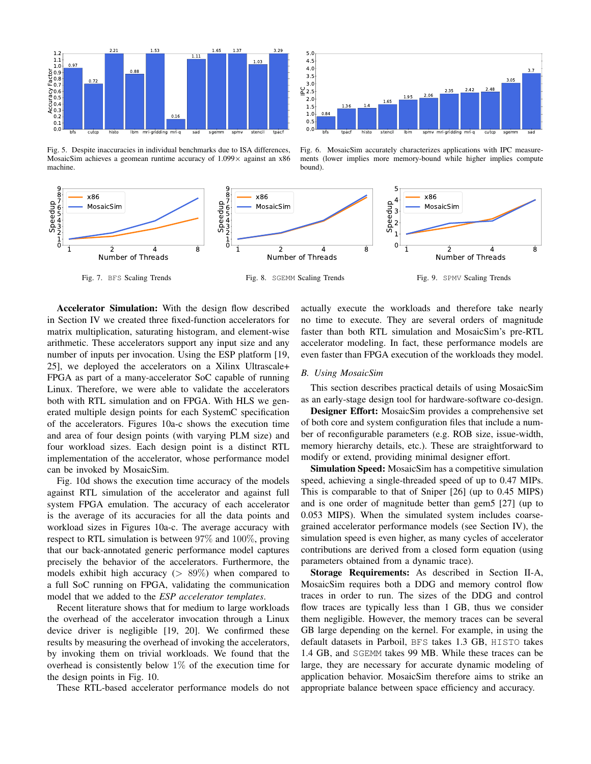

Fig. 5. Despite inaccuracies in individual benchmarks due to ISA differences, MosaicSim achieves a geomean runtime accuracy of  $1.099 \times$  against an x86 machine.



Fig. 6. MosaicSim accurately characterizes applications with IPC measurements (lower implies more memory-bound while higher implies compute bound).



Accelerator Simulation: With the design flow described in Section IV we created three fixed-function accelerators for matrix multiplication, saturating histogram, and element-wise arithmetic. These accelerators support any input size and any number of inputs per invocation. Using the ESP platform [19, 25], we deployed the accelerators on a Xilinx Ultrascale+ FPGA as part of a many-accelerator SoC capable of running Linux. Therefore, we were able to validate the accelerators both with RTL simulation and on FPGA. With HLS we generated multiple design points for each SystemC specification of the accelerators. Figures 10a-c shows the execution time and area of four design points (with varying PLM size) and four workload sizes. Each design point is a distinct RTL implementation of the accelerator, whose performance model can be invoked by MosaicSim.

Fig. 10d shows the execution time accuracy of the models against RTL simulation of the accelerator and against full system FPGA emulation. The accuracy of each accelerator is the average of its accuracies for all the data points and workload sizes in Figures 10a-c. The average accuracy with respect to RTL simulation is between 97% and 100%, proving that our back-annotated generic performance model captures precisely the behavior of the accelerators. Furthermore, the models exhibit high accuracy ( $> 89\%$ ) when compared to a full SoC running on FPGA, validating the communication model that we added to the *ESP accelerator templates*.

Recent literature shows that for medium to large workloads the overhead of the accelerator invocation through a Linux device driver is negligible [19, 20]. We confirmed these results by measuring the overhead of invoking the accelerators, by invoking them on trivial workloads. We found that the overhead is consistently below  $1\%$  of the execution time for the design points in Fig. 10.

These RTL-based accelerator performance models do not

actually execute the workloads and therefore take nearly no time to execute. They are several orders of magnitude faster than both RTL simulation and MosaicSim's pre-RTL accelerator modeling. In fact, these performance models are even faster than FPGA execution of the workloads they model.

#### *B. Using MosaicSim*

This section describes practical details of using MosaicSim as an early-stage design tool for hardware-software co-design.

Designer Effort: MosaicSim provides a comprehensive set of both core and system configuration files that include a number of reconfigurable parameters (e.g. ROB size, issue-width, memory hierarchy details, etc.). These are straightforward to modify or extend, providing minimal designer effort.

Simulation Speed: MosaicSim has a competitive simulation speed, achieving a single-threaded speed of up to 0.47 MIPs. This is comparable to that of Sniper [26] (up to 0.45 MIPS) and is one order of magnitude better than gem5 [27] (up to 0.053 MIPS). When the simulated system includes coarsegrained accelerator performance models (see Section IV), the simulation speed is even higher, as many cycles of accelerator contributions are derived from a closed form equation (using parameters obtained from a dynamic trace).

Storage Requirements: As described in Section II-A, MosaicSim requires both a DDG and memory control flow traces in order to run. The sizes of the DDG and control flow traces are typically less than 1 GB, thus we consider them negligible. However, the memory traces can be several GB large depending on the kernel. For example, in using the default datasets in Parboil, BFS takes 1.3 GB, HISTO takes 1.4 GB, and SGEMM takes 99 MB. While these traces can be large, they are necessary for accurate dynamic modeling of application behavior. MosaicSim therefore aims to strike an appropriate balance between space efficiency and accuracy.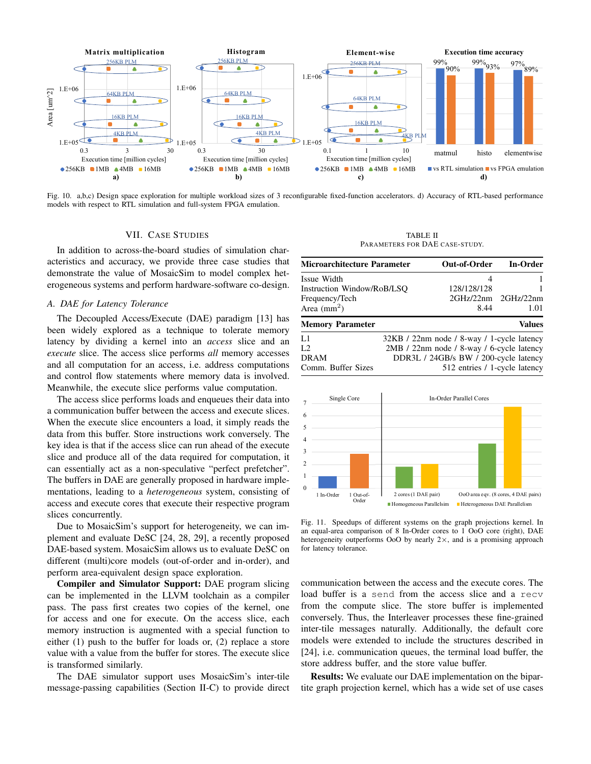

Fig. 10. a,b,c) Design space exploration for multiple workload sizes of 3 reconfigurable fixed-function accelerators. d) Accuracy of RTL-based performance models with respect to RTL simulation and full-system FPGA emulation.

# VII. CASE STUDIES

In addition to across-the-board studies of simulation characteristics and accuracy, we provide three case studies that demonstrate the value of MosaicSim to model complex heterogeneous systems and perform hardware-software co-design.

# *A. DAE for Latency Tolerance*

The Decoupled Access/Execute (DAE) paradigm [13] has been widely explored as a technique to tolerate memory latency by dividing a kernel into an *access* slice and an *execute* slice. The access slice performs *all* memory accesses and all computation for an access, i.e. address computations and control flow statements where memory data is involved. Meanwhile, the execute slice performs value computation.

The access slice performs loads and enqueues their data into a communication buffer between the access and execute slices. When the execute slice encounters a load, it simply reads the data from this buffer. Store instructions work conversely. The key idea is that if the access slice can run ahead of the execute slice and produce all of the data required for computation, it can essentially act as a non-speculative "perfect prefetcher". The buffers in DAE are generally proposed in hardware implementations, leading to a *heterogeneous* system, consisting of access and execute cores that execute their respective program slices concurrently.

Due to MosaicSim's support for heterogeneity, we can implement and evaluate DeSC [24, 28, 29], a recently proposed DAE-based system. MosaicSim allows us to evaluate DeSC on different (multi)core models (out-of-order and in-order), and perform area-equivalent design space exploration.

Compiler and Simulator Support: DAE program slicing can be implemented in the LLVM toolchain as a compiler pass. The pass first creates two copies of the kernel, one for access and one for execute. On the access slice, each memory instruction is augmented with a special function to either (1) push to the buffer for loads or, (2) replace a store value with a value from the buffer for stores. The execute slice is transformed similarly.

The DAE simulator support uses MosaicSim's inter-tile message-passing capabilities (Section II-C) to provide direct

TABLE II PARAMETERS FOR DAE CASE-STUDY.

| <b>Microarchitecture Parameter</b>                                                  |                                                                                                                                                                   | Out-of-Order                          | In-Order          |  |  |
|-------------------------------------------------------------------------------------|-------------------------------------------------------------------------------------------------------------------------------------------------------------------|---------------------------------------|-------------------|--|--|
| Issue Width<br>Instruction Window/RoB/LSO<br>Frequency/Tech<br>Area $\text{(mm}^2)$ |                                                                                                                                                                   | 4<br>128/128/128<br>2GHz/22nm<br>8.44 | 2GHz/22nm<br>1.01 |  |  |
| <b>Memory Parameter</b>                                                             |                                                                                                                                                                   |                                       | <b>Values</b>     |  |  |
| L1<br>L <sub>2</sub><br><b>DRAM</b><br>Comm. Buffer Sizes                           | 32KB / 22nm node / 8-way / 1-cycle latency<br>2MB / 22nm node / 8-way / 6-cycle latency<br>DDR3L / 24GB/s BW / 200-cycle latency<br>512 entries / 1-cycle latency |                                       |                   |  |  |



Fig. 11. Speedups of different systems on the graph projections kernel. In an equal-area comparison of 8 In-Order cores to 1 OoO core (right), DAE heterogeneity outperforms OoO by nearly  $2 \times$ , and is a promising approach for latency tolerance.

communication between the access and the execute cores. The load buffer is a send from the access slice and a recv from the compute slice. The store buffer is implemented conversely. Thus, the Interleaver processes these fine-grained inter-tile messages naturally. Additionally, the default core models were extended to include the structures described in [24], i.e. communication queues, the terminal load buffer, the store address buffer, and the store value buffer.

Results: We evaluate our DAE implementation on the bipartite graph projection kernel, which has a wide set of use cases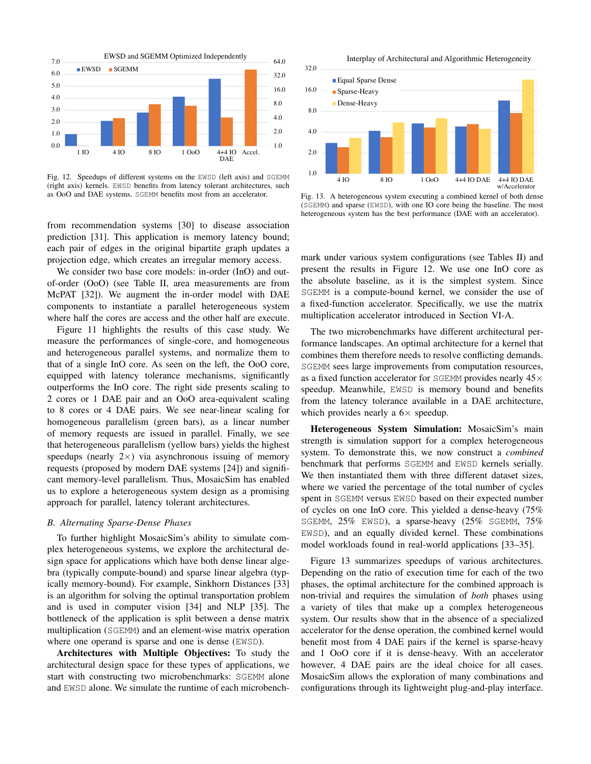

Fig. 12. Speedups of different systems on the EWSD (left axis) and SGEMM (right axis) kernels. EWSD benefits from latency tolerant architectures, such as OoO and DAE systems. SGEMM benefits most from an accelerator.

from recommendation systems [30] to disease association prediction [31]. This application is memory latency bound; each pair of edges in the original bipartite graph updates a projection edge, which creates an irregular memory access.

We consider two base core models: in-order (InO) and outof-order (OoO) (see Table II, area measurements are from McPAT [32]). We augment the in-order model with DAE components to instantiate a parallel heterogeneous system where half the cores are access and the other half are execute.

Figure 11 highlights the results of this case study. We measure the performances of single-core, and homogeneous and heterogeneous parallel systems, and normalize them to that of a single InO core. As seen on the left, the OoO core, equipped with latency tolerance mechanisms, significantly outperforms the InO core. The right side presents scaling to 2 cores or 1 DAE pair and an OoO area-equivalent scaling to 8 cores or 4 DAE pairs. We see near-linear scaling for homogeneous parallelism (green bars), as a linear number of memory requests are issued in parallel. Finally, we see that heterogeneous parallelism (yellow bars) yields the highest speedups (nearly  $2 \times$ ) via asynchronous issuing of memory requests (proposed by modern DAE systems [24]) and significant memory-level parallelism. Thus, MosaicSim has enabled us to explore a heterogeneous system design as a promising approach for parallel, latency tolerant architectures.

## *B. Alternating Sparse-Dense Phases*

To further highlight MosaicSim's ability to simulate complex heterogeneous systems, we explore the architectural design space for applications which have both dense linear algebra (typically compute-bound) and sparse linear algebra (typically memory-bound). For example, Sinkhorn Distances [33] is an algorithm for solving the optimal transportation problem and is used in computer vision [34] and NLP [35]. The bottleneck of the application is split between a dense matrix multiplication (SGEMM) and an element-wise matrix operation where one operand is sparse and one is dense (EWSD).

Architectures with Multiple Objectives: To study the architectural design space for these types of applications, we start with constructing two microbenchmarks: SGEMM alone and EWSD alone. We simulate the runtime of each microbench-



Fig. 13. A heterogeneous system executing a combined kernel of both dense (SGEMM) and sparse (EWSD), with one IO core being the baseline. The most heterogeneous system has the best performance (DAE with an accelerator).

mark under various system configurations (see Tables II) and present the results in Figure 12. We use one InO core as the absolute baseline, as it is the simplest system. Since SGEMM is a compute-bound kernel, we consider the use of a fixed-function accelerator. Specifically, we use the matrix multiplication accelerator introduced in Section VI-A.

The two microbenchmarks have different architectural performance landscapes. An optimal architecture for a kernel that combines them therefore needs to resolve conflicting demands. SGEMM sees large improvements from computation resources, as a fixed function accelerator for SGEMM provides nearly  $45\times$ speedup. Meanwhile, EWSD is memory bound and benefits from the latency tolerance available in a DAE architecture, which provides nearly a  $6\times$  speedup.

Heterogeneous System Simulation: MosaicSim's main strength is simulation support for a complex heterogeneous system. To demonstrate this, we now construct a *combined* benchmark that performs SGEMM and EWSD kernels serially. We then instantiated them with three different dataset sizes, where we varied the percentage of the total number of cycles spent in SGEMM versus EWSD based on their expected number of cycles on one InO core. This yielded a dense-heavy (75% SGEMM, 25% EWSD), a sparse-heavy (25% SGEMM, 75% EWSD), and an equally divided kernel. These combinations model workloads found in real-world applications [33–35].

Figure 13 summarizes speedups of various architectures. Depending on the ratio of execution time for each of the two phases, the optimal architecture for the combined approach is non-trivial and requires the simulation of *both* phases using a variety of tiles that make up a complex heterogeneous system. Our results show that in the absence of a specialized accelerator for the dense operation, the combined kernel would benefit most from 4 DAE pairs if the kernel is sparse-heavy and 1 OoO core if it is dense-heavy. With an accelerator however, 4 DAE pairs are the ideal choice for all cases. MosaicSim allows the exploration of many combinations and configurations through its lightweight plug-and-play interface.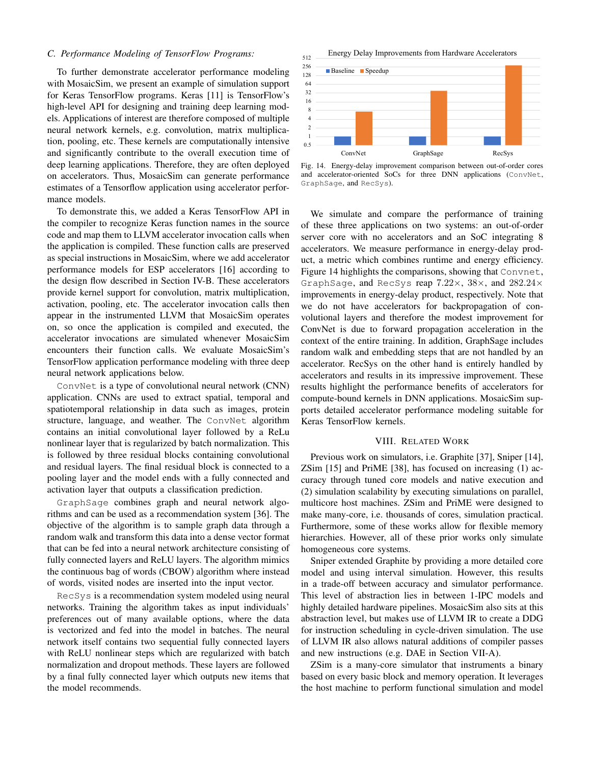## *C. Performance Modeling of TensorFlow Programs:*

To further demonstrate accelerator performance modeling with MosaicSim, we present an example of simulation support for Keras TensorFlow programs. Keras [11] is TensorFlow's high-level API for designing and training deep learning models. Applications of interest are therefore composed of multiple neural network kernels, e.g. convolution, matrix multiplication, pooling, etc. These kernels are computationally intensive and significantly contribute to the overall execution time of deep learning applications. Therefore, they are often deployed on accelerators. Thus, MosaicSim can generate performance estimates of a Tensorflow application using accelerator performance models.

To demonstrate this, we added a Keras TensorFlow API in the compiler to recognize Keras function names in the source code and map them to LLVM accelerator invocation calls when the application is compiled. These function calls are preserved as special instructions in MosaicSim, where we add accelerator performance models for ESP accelerators [16] according to the design flow described in Section IV-B. These accelerators provide kernel support for convolution, matrix multiplication, activation, pooling, etc. The accelerator invocation calls then appear in the instrumented LLVM that MosaicSim operates on, so once the application is compiled and executed, the accelerator invocations are simulated whenever MosaicSim encounters their function calls. We evaluate MosaicSim's TensorFlow application performance modeling with three deep neural network applications below.

ConvNet is a type of convolutional neural network (CNN) application. CNNs are used to extract spatial, temporal and spatiotemporal relationship in data such as images, protein structure, language, and weather. The ConvNet algorithm contains an initial convolutional layer followed by a ReLu nonlinear layer that is regularized by batch normalization. This is followed by three residual blocks containing convolutional and residual layers. The final residual block is connected to a pooling layer and the model ends with a fully connected and activation layer that outputs a classification prediction.

GraphSage combines graph and neural network algorithms and can be used as a recommendation system [36]. The objective of the algorithm is to sample graph data through a random walk and transform this data into a dense vector format that can be fed into a neural network architecture consisting of fully connected layers and ReLU layers. The algorithm mimics the continuous bag of words (CBOW) algorithm where instead of words, visited nodes are inserted into the input vector.

RecSys is a recommendation system modeled using neural networks. Training the algorithm takes as input individuals' preferences out of many available options, where the data is vectorized and fed into the model in batches. The neural network itself contains two sequential fully connected layers with ReLU nonlinear steps which are regularized with batch normalization and dropout methods. These layers are followed by a final fully connected layer which outputs new items that the model recommends.

512 Energy Delay Improvements from Hardware Accelerators



Fig. 14. Energy-delay improvement comparison between out-of-order cores and accelerator-oriented SoCs for three DNN applications (ConvNet, GraphSage, and RecSys).

We simulate and compare the performance of training of these three applications on two systems: an out-of-order server core with no accelerators and an SoC integrating 8 accelerators. We measure performance in energy-delay product, a metric which combines runtime and energy efficiency. Figure 14 highlights the comparisons, showing that Convnet, GraphSage, and RecSys reap 7.22×, 38×, and 282.24× improvements in energy-delay product, respectively. Note that we do not have accelerators for backpropagation of convolutional layers and therefore the modest improvement for ConvNet is due to forward propagation acceleration in the context of the entire training. In addition, GraphSage includes random walk and embedding steps that are not handled by an accelerator. RecSys on the other hand is entirely handled by accelerators and results in its impressive improvement. These results highlight the performance benefits of accelerators for compute-bound kernels in DNN applications. MosaicSim supports detailed accelerator performance modeling suitable for Keras TensorFlow kernels.

## VIII. RELATED WORK

Previous work on simulators, i.e. Graphite [37], Sniper [14], ZSim [15] and PriME [38], has focused on increasing (1) accuracy through tuned core models and native execution and (2) simulation scalability by executing simulations on parallel, multicore host machines. ZSim and PriME were designed to make many-core, i.e. thousands of cores, simulation practical. Furthermore, some of these works allow for flexible memory hierarchies. However, all of these prior works only simulate homogeneous core systems.

Sniper extended Graphite by providing a more detailed core model and using interval simulation. However, this results in a trade-off between accuracy and simulator performance. This level of abstraction lies in between 1-IPC models and highly detailed hardware pipelines. MosaicSim also sits at this abstraction level, but makes use of LLVM IR to create a DDG for instruction scheduling in cycle-driven simulation. The use of LLVM IR also allows natural additions of compiler passes and new instructions (e.g. DAE in Section VII-A).

ZSim is a many-core simulator that instruments a binary based on every basic block and memory operation. It leverages the host machine to perform functional simulation and model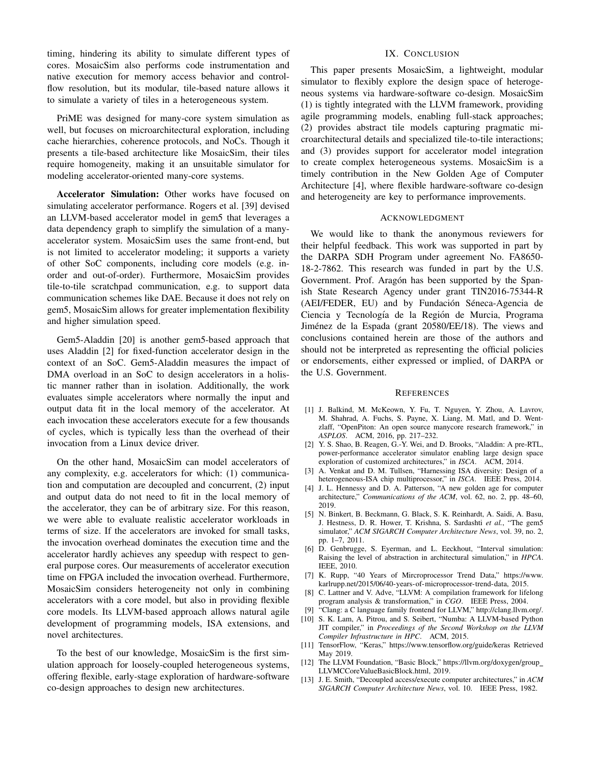timing, hindering its ability to simulate different types of cores. MosaicSim also performs code instrumentation and native execution for memory access behavior and controlflow resolution, but its modular, tile-based nature allows it to simulate a variety of tiles in a heterogeneous system.

PriME was designed for many-core system simulation as well, but focuses on microarchitectural exploration, including cache hierarchies, coherence protocols, and NoCs. Though it presents a tile-based architecture like MosaicSim, their tiles require homogeneity, making it an unsuitable simulator for modeling accelerator-oriented many-core systems.

Accelerator Simulation: Other works have focused on simulating accelerator performance. Rogers et al. [39] devised an LLVM-based accelerator model in gem5 that leverages a data dependency graph to simplify the simulation of a manyaccelerator system. MosaicSim uses the same front-end, but is not limited to accelerator modeling; it supports a variety of other SoC components, including core models (e.g. inorder and out-of-order). Furthermore, MosaicSim provides tile-to-tile scratchpad communication, e.g. to support data communication schemes like DAE. Because it does not rely on gem5, MosaicSim allows for greater implementation flexibility and higher simulation speed.

Gem5-Aladdin [20] is another gem5-based approach that uses Aladdin [2] for fixed-function accelerator design in the context of an SoC. Gem5-Aladdin measures the impact of DMA overload in an SoC to design accelerators in a holistic manner rather than in isolation. Additionally, the work evaluates simple accelerators where normally the input and output data fit in the local memory of the accelerator. At each invocation these accelerators execute for a few thousands of cycles, which is typically less than the overhead of their invocation from a Linux device driver.

On the other hand, MosaicSim can model accelerators of any complexity, e.g. accelerators for which: (1) communication and computation are decoupled and concurrent, (2) input and output data do not need to fit in the local memory of the accelerator, they can be of arbitrary size. For this reason, we were able to evaluate realistic accelerator workloads in terms of size. If the accelerators are invoked for small tasks, the invocation overhead dominates the execution time and the accelerator hardly achieves any speedup with respect to general purpose cores. Our measurements of accelerator execution time on FPGA included the invocation overhead. Furthermore, MosaicSim considers heterogeneity not only in combining accelerators with a core model, but also in providing flexible core models. Its LLVM-based approach allows natural agile development of programming models, ISA extensions, and novel architectures.

To the best of our knowledge, MosaicSim is the first simulation approach for loosely-coupled heterogeneous systems, offering flexible, early-stage exploration of hardware-software co-design approaches to design new architectures.

# IX. CONCLUSION

This paper presents MosaicSim, a lightweight, modular simulator to flexibly explore the design space of heterogeneous systems via hardware-software co-design. MosaicSim (1) is tightly integrated with the LLVM framework, providing agile programming models, enabling full-stack approaches; (2) provides abstract tile models capturing pragmatic microarchitectural details and specialized tile-to-tile interactions; and (3) provides support for accelerator model integration to create complex heterogeneous systems. MosaicSim is a timely contribution in the New Golden Age of Computer Architecture [4], where flexible hardware-software co-design and heterogeneity are key to performance improvements.

# ACKNOWLEDGMENT

We would like to thank the anonymous reviewers for their helpful feedback. This work was supported in part by the DARPA SDH Program under agreement No. FA8650- 18-2-7862. This research was funded in part by the U.S. Government. Prof. Aragón has been supported by the Spanish State Research Agency under grant TIN2016-75344-R (AEI/FEDER, EU) and by Fundación Séneca-Agencia de Ciencia y Tecnología de la Región de Murcia, Programa Jiménez de la Espada (grant 20580/EE/18). The views and conclusions contained herein are those of the authors and should not be interpreted as representing the official policies or endorsements, either expressed or implied, of DARPA or the U.S. Government.

#### **REFERENCES**

- [1] J. Balkind, M. McKeown, Y. Fu, T. Nguyen, Y. Zhou, A. Lavrov, M. Shahrad, A. Fuchs, S. Payne, X. Liang, M. Matl, and D. Wentzlaff, "OpenPiton: An open source manycore research framework," in *ASPLOS*. ACM, 2016, pp. 217–232.
- [2] Y. S. Shao, B. Reagen, G.-Y. Wei, and D. Brooks, "Aladdin: A pre-RTL, power-performance accelerator simulator enabling large design space exploration of customized architectures," in *ISCA*. ACM, 2014.
- [3] A. Venkat and D. M. Tullsen, "Harnessing ISA diversity: Design of a heterogeneous-ISA chip multiprocessor," in *ISCA*. IEEE Press, 2014.
- [4] J. L. Hennessy and D. A. Patterson, "A new golden age for computer architecture," *Communications of the ACM*, vol. 62, no. 2, pp. 48–60, 2019.
- [5] N. Binkert, B. Beckmann, G. Black, S. K. Reinhardt, A. Saidi, A. Basu, J. Hestness, D. R. Hower, T. Krishna, S. Sardashti *et al.*, "The gem5 simulator," *ACM SIGARCH Computer Architecture News*, vol. 39, no. 2, pp. 1–7, 2011.
- [6] D. Genbrugge, S. Eyerman, and L. Eeckhout, "Interval simulation: Raising the level of abstraction in architectural simulation," in *HPCA*. IEEE, 2010.
- [7] K. Rupp, "40 Years of Mircroprocessor Trend Data," https://www. karlrupp.net/2015/06/40-years-of-microprocessor-trend-data, 2015.
- [8] C. Lattner and V. Adve, "LLVM: A compilation framework for lifelong program analysis & transformation," in *CGO*. IEEE Press, 2004.
- [9] "Clang: a C language family frontend for LLVM," http://clang.llvm.org/.
- [10] S. K. Lam, A. Pitrou, and S. Seibert, "Numba: A LLVM-based Python JIT compiler," in *Proceedings of the Second Workshop on the LLVM Compiler Infrastructure in HPC*. ACM, 2015.
- [11] TensorFlow, "Keras," https://www.tensorflow.org/guide/keras Retrieved May 2019.
- [12] The LLVM Foundation, "Basic Block," https://llvm.org/doxygen/group\_ LLVMCCoreValueBasicBlock.html, 2019.
- [13] J. E. Smith, "Decoupled access/execute computer architectures," in *ACM SIGARCH Computer Architecture News*, vol. 10. IEEE Press, 1982.